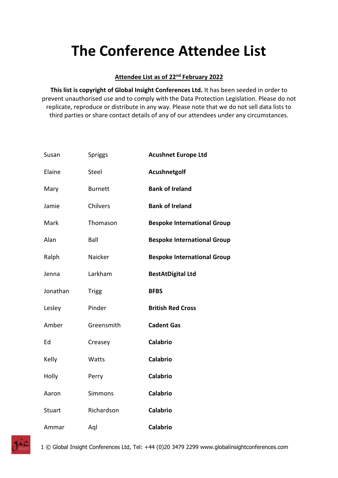## **The Conference Attendee List**

## **Attendee List as of 22nd February 2022**

**This list is copyright of Global Insight Conferences Ltd.** It has been seeded in order to prevent unauthorised use and to comply with the Data Protection Legislation. Please do not replicate, reproduce or distribute in any way. Please note that we do not sell data lists to third parties or share contact details of any of our attendees under any circumstances.

| Susan    | Spriggs        | <b>Acushnet Europe Ltd</b>         |
|----------|----------------|------------------------------------|
| Elaine   | Steel          | Acushnetgolf                       |
| Mary     | <b>Burnett</b> | <b>Bank of Ireland</b>             |
| Jamie    | Chilvers       | <b>Bank of Ireland</b>             |
| Mark     | Thomason       | <b>Bespoke International Group</b> |
| Alan     | Ball           | <b>Bespoke International Group</b> |
| Ralph    | Naicker        | <b>Bespoke International Group</b> |
| Jenna    | Larkham        | <b>BestAtDigital Ltd</b>           |
| Jonathan | <b>Trigg</b>   | <b>BFBS</b>                        |
| Lesley   | Pinder         | <b>British Red Cross</b>           |
| Amber    | Greensmith     | <b>Cadent Gas</b>                  |
| Ed       | Creasey        | <b>Calabrio</b>                    |
| Kelly    | Watts          | <b>Calabrio</b>                    |
| Holly    | Perry          | <b>Calabrio</b>                    |
| Aaron    | Simmons        | <b>Calabrio</b>                    |
| Stuart   | Richardson     | <b>Calabrio</b>                    |
| Ammar    | Aql            | <b>Calabrio</b>                    |

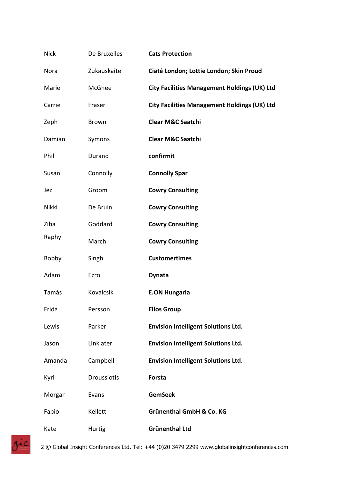| <b>Nick</b>  | De Bruxelles     | <b>Cats Protection</b>                              |
|--------------|------------------|-----------------------------------------------------|
| Nora         | Zukauskaite      | Ciaté London; Lottie London; Skin Proud             |
| Marie        | McGhee           | <b>City Facilities Management Holdings (UK) Ltd</b> |
| Carrie       | Fraser           | <b>City Facilities Management Holdings (UK) Ltd</b> |
| Zeph         | <b>Brown</b>     | <b>Clear M&amp;C Saatchi</b>                        |
| Damian       | Symons           | <b>Clear M&amp;C Saatchi</b>                        |
| Phil         | Durand           | confirmit                                           |
| Susan        | Connolly         | <b>Connolly Spar</b>                                |
| Jez          | Groom            | <b>Cowry Consulting</b>                             |
| Nikki        | De Bruin         | <b>Cowry Consulting</b>                             |
| Ziba         | Goddard          | <b>Cowry Consulting</b>                             |
| Raphy        | March            | <b>Cowry Consulting</b>                             |
| <b>Bobby</b> | Singh            | <b>Customertimes</b>                                |
| Adam         | Ezro             | <b>Dynata</b>                                       |
| Tamás        | <b>Kovalcsik</b> | <b>E.ON Hungaria</b>                                |
| Frida        | Persson          | <b>Ellos Group</b>                                  |
| Lewis        | Parker           | <b>Envision Intelligent Solutions Ltd.</b>          |
| Jason        | Linklater        | <b>Envision Intelligent Solutions Ltd.</b>          |
| Amanda       | Campbell         | <b>Envision Intelligent Solutions Ltd.</b>          |
| Kyri         | Droussiotis      | Forsta                                              |
| Morgan       | Evans            | <b>GemSeek</b>                                      |
| Fabio        | Kellett          | <b>Grünenthal GmbH &amp; Co. KG</b>                 |
| Kate         | Hurtig           | <b>Grünenthal Ltd</b>                               |

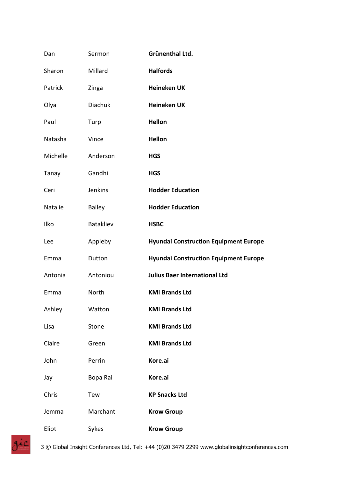| Dan      | Sermon        | Grünenthal Ltd.                              |
|----------|---------------|----------------------------------------------|
| Sharon   | Millard       | <b>Halfords</b>                              |
| Patrick  | Zinga         | <b>Heineken UK</b>                           |
| Olya     | Diachuk       | <b>Heineken UK</b>                           |
| Paul     | Turp          | <b>Hellon</b>                                |
| Natasha  | Vince         | <b>Hellon</b>                                |
| Michelle | Anderson      | <b>HGS</b>                                   |
| Tanay    | Gandhi        | <b>HGS</b>                                   |
| Ceri     | Jenkins       | <b>Hodder Education</b>                      |
| Natalie  | <b>Bailey</b> | <b>Hodder Education</b>                      |
| Ilko     | Batakliev     | <b>HSBC</b>                                  |
| Lee      | Appleby       | <b>Hyundai Construction Equipment Europe</b> |
| Emma     | Dutton        | <b>Hyundai Construction Equipment Europe</b> |
| Antonia  | Antoniou      | <b>Julius Baer International Ltd</b>         |
| Emma     | North         | <b>KMI Brands Ltd</b>                        |
| Ashley   | Watton        | <b>KMI Brands Ltd</b>                        |
| Lisa     | Stone         | <b>KMI Brands Ltd</b>                        |
| Claire   | Green         | <b>KMI Brands Ltd</b>                        |
| John     | Perrin        | Kore.ai                                      |
| Jay      | Bopa Rai      | Kore.ai                                      |
| Chris    | Tew           | <b>KP Snacks Ltd</b>                         |
| Jemma    | Marchant      | <b>Krow Group</b>                            |
| Eliot    | Sykes         | <b>Krow Group</b>                            |

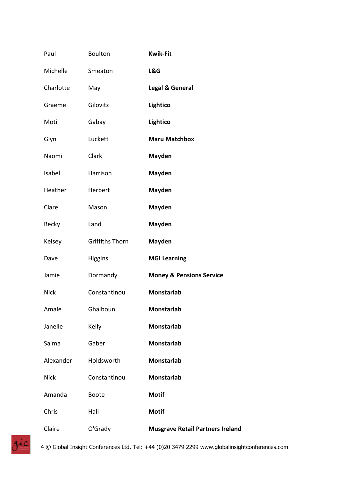| Paul         | <b>Boulton</b>         | <b>Kwik-Fit</b>                         |
|--------------|------------------------|-----------------------------------------|
| Michelle     | Smeaton                | L&G                                     |
| Charlotte    | May                    | <b>Legal &amp; General</b>              |
| Graeme       | Gilovitz               | Lightico                                |
| Moti         | Gabay                  | Lightico                                |
| Glyn         | Luckett                | <b>Maru Matchbox</b>                    |
| Naomi        | Clark                  | <b>Mayden</b>                           |
| Isabel       | Harrison               | <b>Mayden</b>                           |
| Heather      | Herbert                | <b>Mayden</b>                           |
| Clare        | Mason                  | <b>Mayden</b>                           |
| <b>Becky</b> | Land                   | <b>Mayden</b>                           |
| Kelsey       | <b>Griffiths Thorn</b> | <b>Mayden</b>                           |
| Dave         | <b>Higgins</b>         | <b>MGI Learning</b>                     |
| Jamie        | Dormandy               | <b>Money &amp; Pensions Service</b>     |
| <b>Nick</b>  | Constantinou           | <b>Monstarlab</b>                       |
| Amale        | Ghalbouni              | <b>Monstarlab</b>                       |
| Janelle      | Kelly                  | <b>Monstarlab</b>                       |
| Salma        | Gaber                  | Monstarlab                              |
| Alexander    | Holdsworth             | <b>Monstarlab</b>                       |
| <b>Nick</b>  | Constantinou           | Monstarlab                              |
| Amanda       | <b>Boote</b>           | <b>Motif</b>                            |
| Chris        | Hall                   | <b>Motif</b>                            |
| Claire       | O'Grady                | <b>Musgrave Retail Partners Ireland</b> |

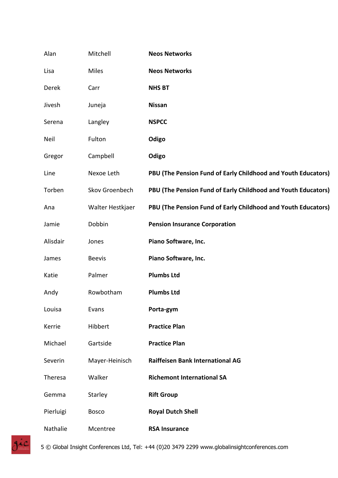| Alan      | Mitchell         | <b>Neos Networks</b>                                          |
|-----------|------------------|---------------------------------------------------------------|
| Lisa      | Miles            | <b>Neos Networks</b>                                          |
| Derek     | Carr             | <b>NHS BT</b>                                                 |
| Jivesh    | Juneja           | <b>Nissan</b>                                                 |
| Serena    | Langley          | <b>NSPCC</b>                                                  |
| Neil      | Fulton           | Odigo                                                         |
| Gregor    | Campbell         | Odigo                                                         |
| Line      | Nexoe Leth       | PBU (The Pension Fund of Early Childhood and Youth Educators) |
| Torben    | Skov Groenbech   | PBU (The Pension Fund of Early Childhood and Youth Educators) |
| Ana       | Walter Hestkjaer | PBU (The Pension Fund of Early Childhood and Youth Educators) |
| Jamie     | Dobbin           | <b>Pension Insurance Corporation</b>                          |
| Alisdair  | Jones            | Piano Software, Inc.                                          |
| James     | <b>Beevis</b>    | Piano Software, Inc.                                          |
| Katie     | Palmer           | <b>Plumbs Ltd</b>                                             |
| Andy      | Rowbotham        | <b>Plumbs Ltd</b>                                             |
| Louisa    | Evans            | Porta-gym                                                     |
| Kerrie    | Hibbert          | <b>Practice Plan</b>                                          |
| Michael   | Gartside         | <b>Practice Plan</b>                                          |
| Severin   | Mayer-Heinisch   | <b>Raiffeisen Bank International AG</b>                       |
| Theresa   | Walker           | <b>Richemont International SA</b>                             |
| Gemma     | Starley          | <b>Rift Group</b>                                             |
| Pierluigi | <b>Bosco</b>     | <b>Royal Dutch Shell</b>                                      |
| Nathalie  | Mcentree         | <b>RSA Insurance</b>                                          |

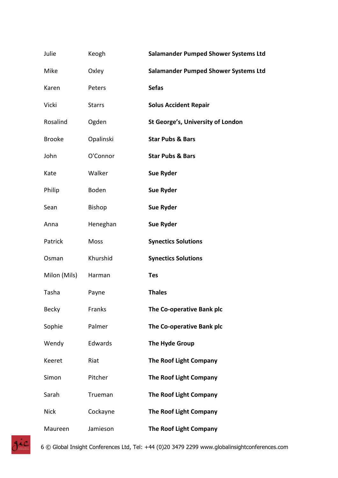| Julie         | Keogh         | <b>Salamander Pumped Shower Systems Ltd</b> |
|---------------|---------------|---------------------------------------------|
| Mike          | Oxley         | <b>Salamander Pumped Shower Systems Ltd</b> |
| Karen         | Peters        | <b>Sefas</b>                                |
| Vicki         | <b>Starrs</b> | <b>Solus Accident Repair</b>                |
| Rosalind      | Ogden         | St George's, University of London           |
| <b>Brooke</b> | Opalinski     | <b>Star Pubs &amp; Bars</b>                 |
| John          | O'Connor      | <b>Star Pubs &amp; Bars</b>                 |
| Kate          | Walker        | <b>Sue Ryder</b>                            |
| Philip        | <b>Boden</b>  | <b>Sue Ryder</b>                            |
| Sean          | <b>Bishop</b> | <b>Sue Ryder</b>                            |
| Anna          | Heneghan      | <b>Sue Ryder</b>                            |
| Patrick       | Moss          | <b>Synectics Solutions</b>                  |
| Osman         | Khurshid      | <b>Synectics Solutions</b>                  |
| Milon (Mils)  | Harman        | <b>Tes</b>                                  |
| Tasha         | Payne         | <b>Thales</b>                               |
| <b>Becky</b>  | Franks        | The Co-operative Bank plc                   |
| Sophie        | Palmer        | The Co-operative Bank plc                   |
| Wendy         | Edwards       | The Hyde Group                              |
| Keeret        | Riat          | <b>The Roof Light Company</b>               |
| Simon         | Pitcher       | <b>The Roof Light Company</b>               |
| Sarah         | Trueman       | <b>The Roof Light Company</b>               |
| <b>Nick</b>   | Cockayne      | <b>The Roof Light Company</b>               |
| Maureen       | Jamieson      | <b>The Roof Light Company</b>               |